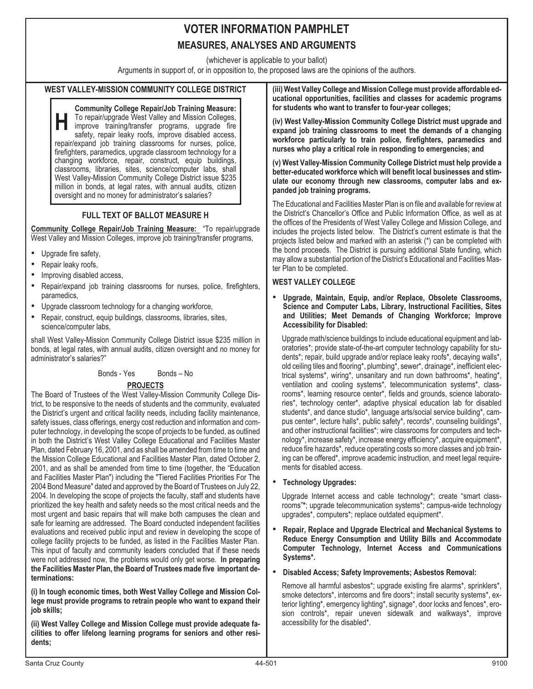(whichever is applicable to your ballot)

Arguments in support of, or in opposition to, the proposed laws are the opinions of the authors.

### **WEST VALLEY-MISSION COMMUNITY COLLEGE DISTRICT**

**H Community College Repair/Job Training Measure:** To repair/upgrade West Valley and Mission Colleges, improve training/transfer programs, upgrade fire safety, repair leaky roofs, improve disabled access, repair/expand job training classrooms for nurses, police, firefighters, paramedics, upgrade classroom technology for a changing workforce, repair, construct, equip buildings, classrooms, libraries, sites, science/computer labs, shall West Valley-Mission Community College District issue \$235 million in bonds, at legal rates, with annual audits, citizen oversight and no money for administrator's salaries?

## **FULL TEXT OF BALLOT MEASURE H**

**Community College Repair/Job Training Measure:** "To repair/upgrade West Valley and Mission Colleges, improve job training/transfer programs, •

- Upgrade fire safety,
- Repair leaky roofs, •
- Improving disabled access, •
- Repair/expand job training classrooms for nurses, police, firefighters, paramedics,
- Upgrade classroom technology for a changing workforce, •
- Repair, construct, equip buildings, classrooms, libraries, sites, science/computer labs,

shall West Valley-Mission Community College District issue \$235 million in bonds, at legal rates, with annual audits, citizen oversight and no money for administrator's salaries?"

#### Bonds - Yes Bonds - No

#### **PROJECTS**

The Board of Trustees of the West Valley-Mission Community College District, to be responsive to the needs of students and the community, evaluated the District's urgent and critical facility needs, including facility maintenance, safety issues, class offerings, energy cost reduction and information and computer technology, in developing the scope of projects to be funded, as outlined in both the District's West Valley College Educational and Facilities Master Plan, dated February 16, 2001, and as shall be amended from time to time and the Mission College Educational and Facilities Master Plan, dated October 2, 2001, and as shall be amended from time to time (together, the "Education and Facilities Master Plan") including the "Tiered Facilities Priorities For The 2004 Bond Measure" dated and approved by the Board of Trustees on July 22, 2004. In developing the scope of projects the faculty, staff and students have prioritized the key health and safety needs so the most critical needs and the most urgent and basic repairs that will make both campuses the clean and safe for learning are addressed. The Board conducted independent facilities evaluations and received public input and review in developing the scope of college facility projects to be funded, as listed in the Facilities Master Plan. This input of faculty and community leaders concluded that if these needs were not addressed now, the problems would only get worse. **In preparing the Facilities Master Plan, the Board of Trustees made five important determinations:**

**(i) In tough economic times, both West Valley College and Mission College must provide programs to retrain people who want to expand their job skills;**

**(ii) West Valley College and Mission College must provide adequate facilities to offer lifelong learning programs for seniors and other residents;**

**(iii) West Valley College and Mission College must provide affordable educational opportunities, facilities and classes for academic programs for students who want to transfer to four-year colleges;**

**(iv) West Valley-Mission Community College District must upgrade and expand job training classrooms to meet the demands of a changing workforce particularly to train police, firefighters, paramedics and nurses who play a critical role in responding to emergencies; and**

**(v) West Valley-Mission Community College District must help provide a better-educated workforce which will benefit local businesses and stimulate our economy through new classrooms, computer labs and expanded job training programs.**

The Educational and Facilities Master Plan is on file and available for review at the District's Chancellor's Office and Public Information Office, as well as at the offices of the Presidents of West Valley College and Mission College, and includes the projects listed below. The District's current estimate is that the projects listed below and marked with an asterisk (\*) can be completed with the bond proceeds. The District is pursuing additional State funding, which may allow a substantial portion of the District's Educational and Facilities Master Plan to be completed.

## **WEST VALLEY COLLEGE** •

 **Upgrade, Maintain, Equip, and/or Replace, Obsolete Classrooms, Science and Computer Labs, Library, Instructional Facilities, Sites and Utilities; Meet Demands of Changing Workforce; Improve Accessibility for Disabled:**

Upgrade math/science buildings to include educational equipment and laboratories\*; provide state-of-the-art computer technology capability for students\*; repair, build upgrade and/or replace leaky roofs\*, decaying walls\*, old ceiling tiles and flooring\*, plumbing\*, sewer\*, drainage\*, inefficient electrical systems\*, wiring\*, unsanitary and run down bathrooms\*, heating\*, ventilation and cooling systems\*, telecommunication systems\*, classrooms\*, learning resource center\*, fields and grounds, science laboratories\*, technology center\*, adaptive physical education lab for disabled students\*, and dance studio\*, language arts/social service building\*, campus center\*, lecture halls\*, public safety\*, records\*, counseling buildings\*, and other instructional facilities\*; wire classrooms for computers and technology\*, increase safety\*, increase energy efficiency\*, acquire equipment\*, reduce fire hazards\*, reduce operating costs so more classes and job training can be offered\*, improve academic instruction, and meet legal requirements for disabled access.

#### **Technology Upgrades:**

Upgrade Internet access and cable technology\*; create "smart classrooms"**\***; upgrade telecommunication systems\*; campus-wide technology upgrades\*, computers\*; replace outdated equipment\*.

 **Repair, Replace and Upgrade Electrical and Mechanical Systems to Reduce Energy Consumption and Utility Bills and Accommodate Computer Technology, Internet Access and Communications Systems\*.**

#### **Disabled Access; Safety Improvements; Asbestos Removal:**

Remove all harmful asbestos\*; upgrade existing fire alarms\*, sprinklers\*, smoke detectors\*, intercoms and fire doors\*; install security systems\*, exterior lighting\*, emergency lighting\*, signage\*, door locks and fences\*, erosion controls\*, repair uneven sidewalk and walkways\*, improve accessibility for the disabled\*.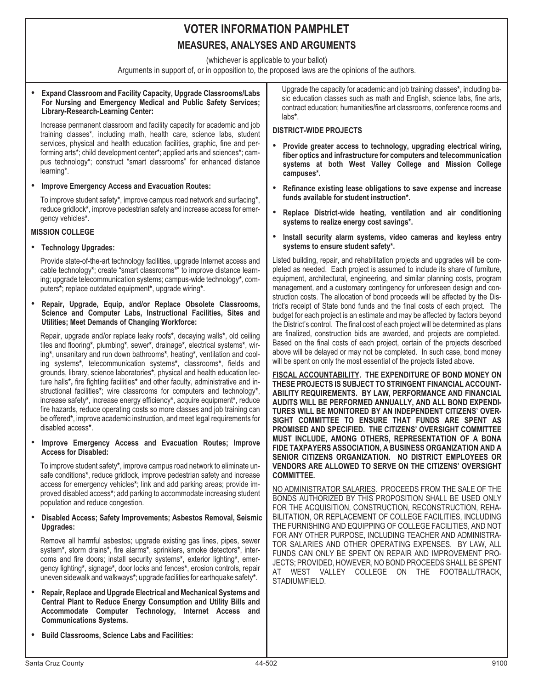(whichever is applicable to your ballot)

Arguments in support of, or in opposition to, the proposed laws are the opinions of the authors.

#### • **Expand Classroom and Facility Capacity, Upgrade Classrooms/Labs For Nursing and Emergency Medical and Public Safety Services; Library-Research-Learning Center:**

Increase permanent classroom and facility capacity for academic and job training classes\*, including math, health care, science labs, student services, physical and health education facilities, graphic, fine and performing arts\*; child development center\*; applied arts and sciences\*; campus technology\*; construct "smart classrooms" for enhanced distance learning\*.

**Improve Emergency Access and Evacuation Routes:**

To improve student safety**\***, improve campus road network and surfacing**\***, reduce gridlock**\***, improve pedestrian safety and increase access for emergency vehicles**\***.

# **MISSION COLLEGE** •

#### **Technology Upgrades:**

Provide state-of-the-art technology facilities, upgrade Internet access and cable technology**\***; create "smart classrooms**\***" to improve distance learning; upgrade telecommunication systems; campus-wide technology**\***, computers**\***; replace outdated equipment**\***, upgrade wiring**\***.

 **Repair, Upgrade, Equip, and/or Replace Obsolete Classrooms, Science and Computer Labs, Instructional Facilities, Sites and Utilities; Meet Demands of Changing Workforce:**

Repair, upgrade and/or replace leaky roofs**\***, decaying walls**\***, old ceiling tiles and flooring**\***, plumbing**\***, sewer**\***, drainage**\***, electrical systems**\***, wiring**\***, unsanitary and run down bathrooms**\***, heating**\***, ventilation and cooling systems**\***, telecommunication systems**\***, classrooms**\***, fields and grounds, library, science laboratories**\***, physical and health education lecture halls**\*,** fire fighting facilities**\*** and other faculty, administrative and instructional facilities**\***; wire classrooms for computers and technology**\***, increase safety**\***, increase energy efficiency**\***, acquire equipment**\***, reduce fire hazards, reduce operating costs so more classes and job training can be offered**\***, improve academic instruction, and meet legal requirements for disabled access**\***.

#### **Improve Emergency Access and Evacuation Routes; Improve Access for Disabled:**

To improve student safety**\***, improve campus road network to eliminate unsafe conditions**\***, reduce gridlock, improve pedestrian safety and increase access for emergency vehicles**\***; link and add parking areas; provide improved disabled access**\***; add parking to accommodate increasing student population and reduce congestion.

#### **Disabled Access; Safety Improvements; Asbestos Removal, Seismic Upgrades:**

Remove all harmful asbestos; upgrade existing gas lines, pipes, sewer system**\***, storm drains**\***, fire alarms**\***, sprinklers, smoke detectors**\***, intercoms and fire doors; install security systems**\***, exterior lighting**\***, emergency lighting**\***, signage**\***, door locks and fences**\***, erosion controls, repair uneven sidewalk and walkways**\***; upgrade facilities for earthquake safety**\***.

- **Repair, Replace and Upgrade Electrical and Mechanical Systems and Central Plant to Reduce Energy Consumption and Utility Bills and Accommodate Computer Technology, Internet Access and Communications Systems.**
- **Build Classrooms, Science Labs and Facilities:**

Upgrade the capacity for academic and job training classes**\***, including basic education classes such as math and English, science labs, fine arts, contract education; humanities/fine art classrooms, conference rooms and labs**\***.

# **DISTRICT-WIDE PROJECTS** •

- **Provide greater access to technology, upgrading electrical wiring, fiber optics and infrastructure for computers and telecommunication systems at both West Valley College and Mission College campuses\*.**
- **Refinance existing lease obligations to save expense and increase funds available for student instruction\*.**
- **Replace District-wide heating, ventilation and air conditioning systems to realize energy cost savings\*.**
- **Install security alarm systems, video cameras and keyless entry systems to ensure student safety\*.**

Listed building, repair, and rehabilitation projects and upgrades will be completed as needed. Each project is assumed to include its share of furniture, equipment, architectural, engineering, and similar planning costs, program management, and a customary contingency for unforeseen design and construction costs. The allocation of bond proceeds will be affected by the District's receipt of State bond funds and the final costs of each project. The budget for each project is an estimate and may be affected by factors beyond the District's control. The final cost of each project will be determined as plans are finalized, construction bids are awarded, and projects are completed. Based on the final costs of each project, certain of the projects described above will be delayed or may not be completed. In such case, bond money will be spent on only the most essential of the projects listed above.

**FISCAL ACCOUNTABILITY. THE EXPENDITURE OF BOND MONEY ON THESE PROJECTS IS SUBJECT TO STRINGENT FINANCIAL ACCOUNT-ABILITY REQUIREMENTS. BY LAW, PERFORMANCE AND FINANCIAL AUDITS WILL BE PERFORMED ANNUALLY, AND ALL BOND EXPENDI-TURES WILL BE MONITORED BY AN INDEPENDENT CITIZENS' OVER-SIGHT COMMITTEE TO ENSURE THAT FUNDS ARE SPENT AS PROMISED AND SPECIFIED. THE CITIZENS' OVERSIGHT COMMITTEE MUST INCLUDE, AMONG OTHERS, REPRESENTATION OF A BONA FIDE TAXPAYERS ASSOCIATION, A BUSINESS ORGANIZATION AND A SENIOR CITIZENS ORGANIZATION. NO DISTRICT EMPLOYEES OR VENDORS ARE ALLOWED TO SERVE ON THE CITIZENS' OVERSIGHT COMMITTEE.**

NO ADMINISTRATOR SALARIES. PROCEEDS FROM THE SALE OF THE BONDS AUTHORIZED BY THIS PROPOSITION SHALL BE USED ONLY FOR THE ACQUISITION, CONSTRUCTION, RECONSTRUCTION, REHA-BILITATION, OR REPLACEMENT OF COLLEGE FACILITIES, INCLUDING THE FURNISHING AND EQUIPPING OF COLLEGE FACILITIES, AND NOT FOR ANY OTHER PURPOSE, INCLUDING TEACHER AND ADMINISTRA-TOR SALARIES AND OTHER OPERATING EXPENSES. BY LAW, ALL FUNDS CAN ONLY BE SPENT ON REPAIR AND IMPROVEMENT PRO-JECTS; PROVIDED, HOWEVER, NO BOND PROCEEDS SHALL BE SPENT AT WEST VALLEY COLLEGE ON THE FOOTBALL/TRACK, STADIUM/FIELD.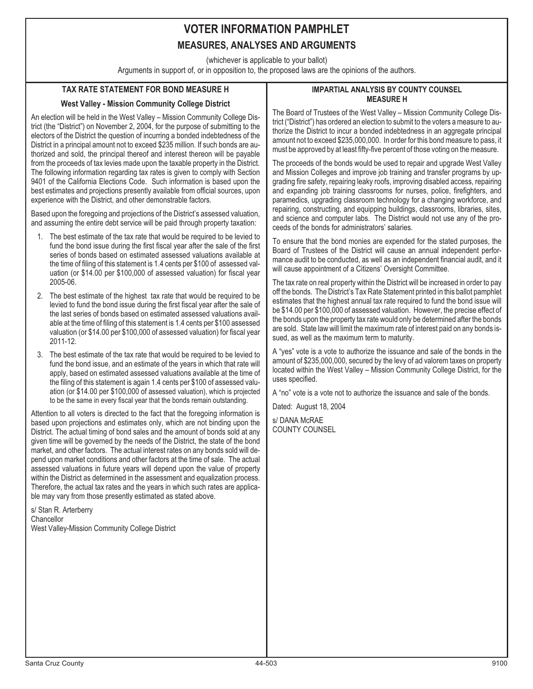(whichever is applicable to your ballot)

Arguments in support of, or in opposition to, the proposed laws are the opinions of the authors.

## **TAX RATE STATEMENT FOR BOND MEASURE H**

## **West Valley - Mission Community College District**

An election will be held in the West Valley – Mission Community College District (the "District") on November 2, 2004, for the purpose of submitting to the electors of the District the question of incurring a bonded indebtedness of the District in a principal amount not to exceed \$235 million. If such bonds are authorized and sold, the principal thereof and interest thereon will be payable from the proceeds of tax levies made upon the taxable property in the District. The following information regarding tax rates is given to comply with Section 9401 of the California Elections Code. Such information is based upon the best estimates and projections presently available from official sources, upon experience with the District, and other demonstrable factors.

Based upon the foregoing and projections of the District's assessed valuation, and assuming the entire debt service will be paid through property taxation:

- 1. The best estimate of the tax rate that would be required to be levied to fund the bond issue during the first fiscal year after the sale of the first series of bonds based on estimated assessed valuations available at the time of filing of this statement is 1.4 cents per \$100 of assessed valuation (or \$14.00 per \$100,000 of assessed valuation) for fiscal year 2005-06.
- 2. The best estimate of the highest tax rate that would be required to be levied to fund the bond issue during the first fiscal year after the sale of the last series of bonds based on estimated assessed valuations available at the time of filing of this statement is 1.4 cents per \$100 assessed valuation (or \$14.00 per \$100,000 of assessed valuation) for fiscal year 2011-12.
- 3. The best estimate of the tax rate that would be required to be levied to fund the bond issue, and an estimate of the years in which that rate will apply, based on estimated assessed valuations available at the time of the filing of this statement is again 1.4 cents per \$100 of assessed valuation (or \$14.00 per \$100,000 of assessed valuation), which is projected to be the same in every fiscal year that the bonds remain outstanding.

Attention to all voters is directed to the fact that the foregoing information is based upon projections and estimates only, which are not binding upon the District. The actual timing of bond sales and the amount of bonds sold at any given time will be governed by the needs of the District, the state of the bond market, and other factors. The actual interest rates on any bonds sold will depend upon market conditions and other factors at the time of sale. The actual assessed valuations in future years will depend upon the value of property within the District as determined in the assessment and equalization process. Therefore, the actual tax rates and the years in which such rates are applicable may vary from those presently estimated as stated above.

s/ Stan R. Arterberry **Chancellor** West Valley-Mission Community College District

#### **IMPARTIAL ANALYSIS BY COUNTY COUNSEL MEASURE H**

The Board of Trustees of the West Valley – Mission Community College District ("District") has ordered an election to submit to the voters a measure to authorize the District to incur a bonded indebtedness in an aggregate principal amount not to exceed \$235,000,000. In order for this bond measure to pass, it must be approved by at least fifty-five percent of those voting on the measure.

The proceeds of the bonds would be used to repair and upgrade West Valley and Mission Colleges and improve job training and transfer programs by upgrading fire safety, repairing leaky roofs, improving disabled access, repairing and expanding job training classrooms for nurses, police, firefighters, and paramedics, upgrading classroom technology for a changing workforce, and repairing, constructing, and equipping buildings, classrooms, libraries, sites, and science and computer labs. The District would not use any of the proceeds of the bonds for administrators' salaries.

To ensure that the bond monies are expended for the stated purposes, the Board of Trustees of the District will cause an annual independent performance audit to be conducted, as well as an independent financial audit, and it will cause appointment of a Citizens' Oversight Committee.

The tax rate on real property within the District will be increased in order to pay off the bonds. The District's Tax Rate Statement printed in this ballot pamphlet estimates that the highest annual tax rate required to fund the bond issue will be \$14.00 per \$100,000 of assessed valuation. However, the precise effect of the bonds upon the property tax rate would only be determined after the bonds are sold. State law will limit the maximum rate of interest paid on any bonds issued, as well as the maximum term to maturity.

A "yes" vote is a vote to authorize the issuance and sale of the bonds in the amount of \$235,000,000, secured by the levy of ad valorem taxes on property located within the West Valley – Mission Community College District, for the uses specified.

A "no" vote is a vote not to authorize the issuance and sale of the bonds.

Dated: August 18, 2004

s/ DANA McRAE COUNTY COUNSEL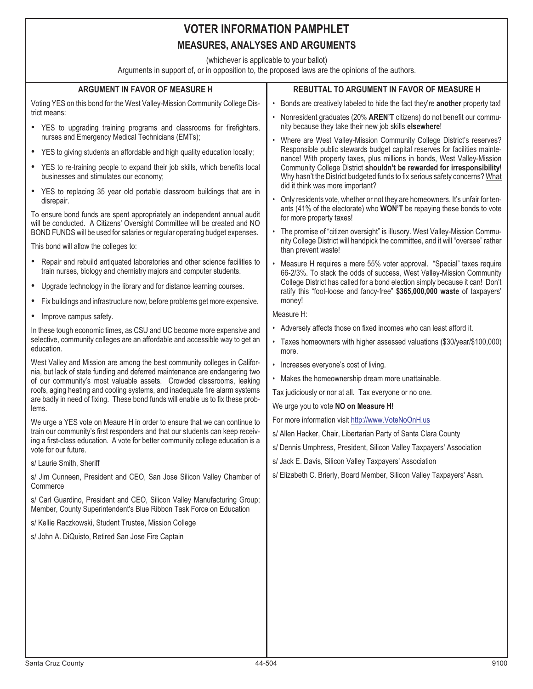# **VOTER INFORMATION PAMPHLET**

## **MEASURES, ANALYSES AND ARGUMENTS**

(whichever is applicable to your ballot)

Arguments in support of, or in opposition to, the proposed laws are the opinions of the authors.

| <b>ARGUMENT IN FAVOR OF MEASURE H</b>                                                                                                                            | REBUTTAL TO ARGUMENT IN FAVOR OF MEASURE H                                                                                                                                                                                                                                                                                                         |
|------------------------------------------------------------------------------------------------------------------------------------------------------------------|----------------------------------------------------------------------------------------------------------------------------------------------------------------------------------------------------------------------------------------------------------------------------------------------------------------------------------------------------|
| Voting YES on this bond for the West Valley-Mission Community College Dis-<br>trict means:                                                                       | • Bonds are creatively labeled to hide the fact they're another property tax!                                                                                                                                                                                                                                                                      |
| • YES to upgrading training programs and classrooms for firefighters,                                                                                            | • Nonresident graduates (20% AREN'T citizens) do not benefit our commu-<br>nity because they take their new job skills elsewhere!                                                                                                                                                                                                                  |
| nurses and Emergency Medical Technicians (EMTs);                                                                                                                 | • Where are West Valley-Mission Community College District's reserves?                                                                                                                                                                                                                                                                             |
| • YES to giving students an affordable and high quality education locally;                                                                                       | Responsible public stewards budget capital reserves for facilities mainte-<br>nance! With property taxes, plus millions in bonds, West Valley-Mission<br>Community College District shouldn't be rewarded for irresponsibility!<br>Why hasn't the District budgeted funds to fix serious safety concerns? What<br>did it think was more important? |
| YES to re-training people to expand their job skills, which benefits local<br>$\bullet$<br>businesses and stimulates our economy;                                |                                                                                                                                                                                                                                                                                                                                                    |
| • YES to replacing 35 year old portable classroom buildings that are in<br>disrepair.                                                                            | Only residents vote, whether or not they are homeowners. It's unfair for ten-<br>ants (41% of the electorate) who WON'T be repaying these bonds to vote                                                                                                                                                                                            |
| To ensure bond funds are spent appropriately an independent annual audit<br>will be conducted. A Citizens' Oversight Committee will be created and NO            | for more property taxes!                                                                                                                                                                                                                                                                                                                           |
| BOND FUNDS will be used for salaries or regular operating budget expenses.<br>This bond will allow the colleges to:                                              | • The promise of "citizen oversight" is illusory. West Valley-Mission Commu-<br>nity College District will handpick the committee, and it will "oversee" rather                                                                                                                                                                                    |
|                                                                                                                                                                  | than prevent waste!                                                                                                                                                                                                                                                                                                                                |
| Repair and rebuild antiquated laboratories and other science facilities to<br>$\bullet$<br>train nurses, biology and chemistry majors and computer students.     | • Measure H requires a mere 55% voter approval. "Special" taxes require<br>66-2/3%. To stack the odds of success, West Valley-Mission Community                                                                                                                                                                                                    |
| • Upgrade technology in the library and for distance learning courses.                                                                                           | College District has called for a bond election simply because it can! Don't<br>ratify this "foot-loose and fancy-free" \$365,000,000 waste of taxpayers'                                                                                                                                                                                          |
| Fix buildings and infrastructure now, before problems get more expensive.<br>$\bullet$                                                                           | money!                                                                                                                                                                                                                                                                                                                                             |
| Improve campus safety.<br>٠                                                                                                                                      | Measure H:                                                                                                                                                                                                                                                                                                                                         |
| In these tough economic times, as CSU and UC become more expensive and<br>selective, community colleges are an affordable and accessible way to get an           | • Adversely affects those on fixed incomes who can least afford it.                                                                                                                                                                                                                                                                                |
| education.                                                                                                                                                       | • Taxes homeowners with higher assessed valuations (\$30/year/\$100,000)<br>more.                                                                                                                                                                                                                                                                  |
| West Valley and Mission are among the best community colleges in Califor-<br>nia, but lack of state funding and deferred maintenance are endangering two         | • Increases everyone's cost of living.                                                                                                                                                                                                                                                                                                             |
| of our community's most valuable assets. Crowded classrooms, leaking                                                                                             | • Makes the homeownership dream more unattainable.                                                                                                                                                                                                                                                                                                 |
| roofs, aging heating and cooling systems, and inadequate fire alarm systems<br>are badly in need of fixing. These bond funds will enable us to fix these prob-   | Tax judiciously or nor at all. Tax everyone or no one.                                                                                                                                                                                                                                                                                             |
| lems.                                                                                                                                                            | We urge you to vote NO on Measure H!                                                                                                                                                                                                                                                                                                               |
| We urge a YES vote on Meaure H in order to ensure that we can continue to                                                                                        | For more information visit http://www.VoteNoOnH.us                                                                                                                                                                                                                                                                                                 |
| train our community's first responders and that our students can keep receiv-<br>ing a first-class education. A vote for better community college education is a | s/ Allen Hacker, Chair, Libertarian Party of Santa Clara County                                                                                                                                                                                                                                                                                    |
| vote for our future.                                                                                                                                             | s/ Dennis Umphress, President, Silicon Valley Taxpayers' Association                                                                                                                                                                                                                                                                               |
| s/ Laurie Smith, Sheriff                                                                                                                                         | s/ Jack E. Davis, Silicon Valley Taxpayers' Association                                                                                                                                                                                                                                                                                            |
| s/ Jim Cunneen, President and CEO, San Jose Silicon Valley Chamber of<br>Commerce                                                                                | s/ Elizabeth C. Brierly, Board Member, Silicon Valley Taxpayers' Assn.                                                                                                                                                                                                                                                                             |
| s/ Carl Guardino, President and CEO, Silicon Valley Manufacturing Group;<br>Member, County Superintendent's Blue Ribbon Task Force on Education                  |                                                                                                                                                                                                                                                                                                                                                    |
| s/ Kellie Raczkowski, Student Trustee, Mission College                                                                                                           |                                                                                                                                                                                                                                                                                                                                                    |
| s/ John A. DiQuisto, Retired San Jose Fire Captain                                                                                                               |                                                                                                                                                                                                                                                                                                                                                    |
|                                                                                                                                                                  |                                                                                                                                                                                                                                                                                                                                                    |
|                                                                                                                                                                  |                                                                                                                                                                                                                                                                                                                                                    |
|                                                                                                                                                                  |                                                                                                                                                                                                                                                                                                                                                    |
|                                                                                                                                                                  |                                                                                                                                                                                                                                                                                                                                                    |
|                                                                                                                                                                  |                                                                                                                                                                                                                                                                                                                                                    |
|                                                                                                                                                                  |                                                                                                                                                                                                                                                                                                                                                    |